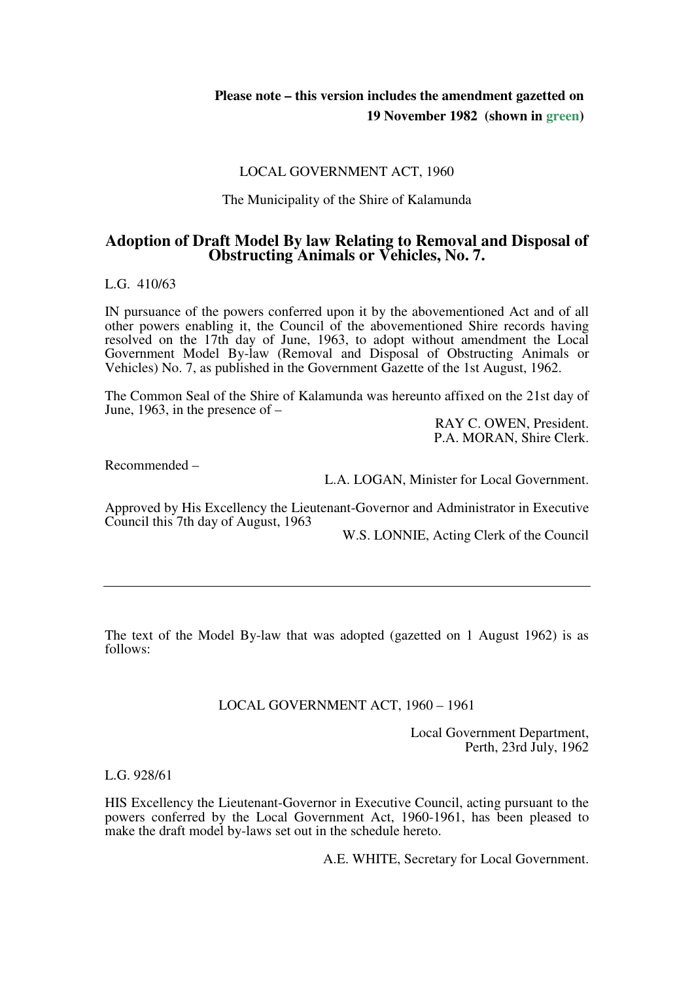# **Please note – this version includes the amendment gazetted on 19 November 1982 (shown in green)**

## LOCAL GOVERNMENT ACT, 1960

#### The Municipality of the Shire of Kalamunda

## **Adoption of Draft Model By law Relating to Removal and Disposal of Obstructing Animals or Vehicles, No. 7.**

L.G. 410/63

IN pursuance of the powers conferred upon it by the abovementioned Act and of all other powers enabling it, the Council of the abovementioned Shire records having resolved on the 17th day of June, 1963, to adopt without amendment the Local Government Model By-law (Removal and Disposal of Obstructing Animals or Vehicles) No. 7, as published in the Government Gazette of the 1st August, 1962.

The Common Seal of the Shire of Kalamunda was hereunto affixed on the 21st day of June, 1963, in the presence of –

> RAY C. OWEN, President. P.A. MORAN, Shire Clerk.

Recommended –

L.A. LOGAN, Minister for Local Government.

Approved by His Excellency the Lieutenant-Governor and Administrator in Executive Council this 7th day of August, 1963

W.S. LONNIE, Acting Clerk of the Council

The text of the Model By-law that was adopted (gazetted on 1 August 1962) is as follows:

#### LOCAL GOVERNMENT ACT, 1960 – 1961

Local Government Department, Perth,  $23rd$  July,  $1962$ 

L.G. 928/61

HIS Excellency the Lieutenant-Governor in Executive Council, acting pursuant to the powers conferred by the Local Government Act, 1960-1961, has been pleased to make the draft model by-laws set out in the schedule hereto.

A.E. WHITE, Secretary for Local Government.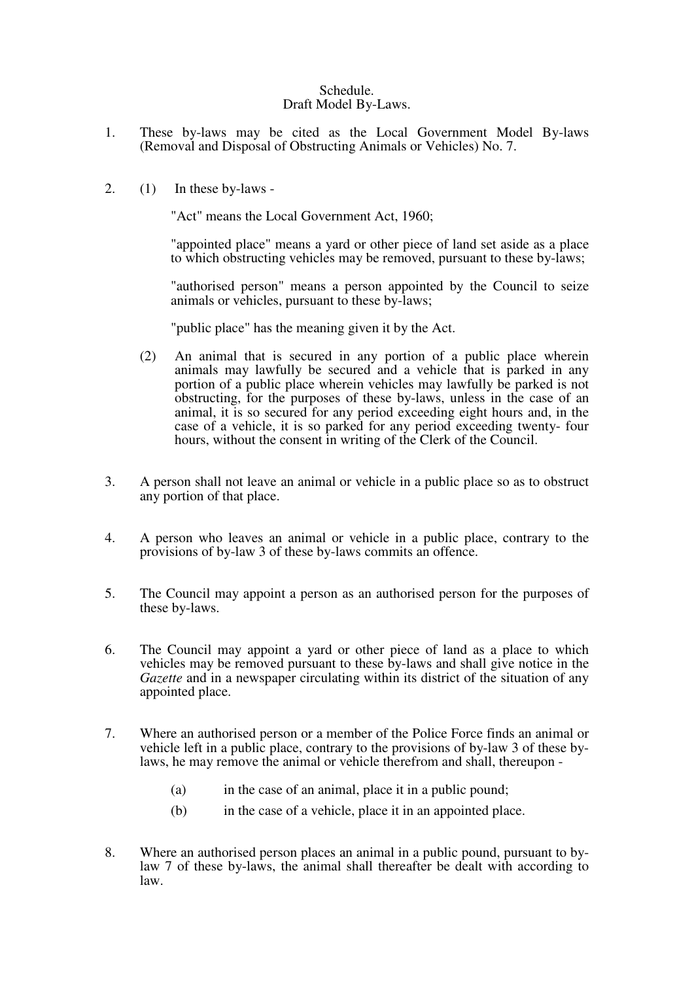#### Schedule. Draft Model By-Laws.

- 1. These by-laws may be cited as the Local Government Model By-laws (Removal and Disposal of Obstructing Animals or Vehicles) No. 7.
- 2. (1) In these by-laws -

"Act" means the Local Government Act, 1960;

"appointed place" means a yard or other piece of land set aside as a place to which obstructing vehicles may be removed, pursuant to these by-laws;

"authorised person" means a person appointed by the Council to seize animals or vehicles, pursuant to these by-laws;

"public place" has the meaning given it by the Act.

- (2) An animal that is secured in any portion of a public place wherein animals may lawfully be secured and a vehicle that is parked in any portion of a public place wherein vehicles may lawfully be parked is not obstructing, for the purposes of these by-laws, unless in the case of an animal, it is so secured for any period exceeding eight hours and, in the case of a vehicle, it is so parked for any period exceeding twenty- four hours, without the consent in writing of the Clerk of the Council.
- 3. A person shall not leave an animal or vehicle in a public place so as to obstruct any portion of that place.
- 4. A person who leaves an animal or vehicle in a public place, contrary to the provisions of by-law 3 of these by-laws commits an offence.
- 5. The Council may appoint a person as an authorised person for the purposes of these by-laws.
- 6. The Council may appoint a yard or other piece of land as a place to which vehicles may be removed pursuant to these by-laws and shall give notice in the *Gazette* and in a newspaper circulating within its district of the situation of any appointed place.
- 7. Where an authorised person or a member of the Police Force finds an animal or vehicle left in a public place, contrary to the provisions of by-law 3 of these bylaws, he may remove the animal or vehicle therefrom and shall, thereupon -
	- (a) in the case of an animal, place it in a public pound;
	- (b) in the case of a vehicle, place it in an appointed place.
- 8. Where an authorised person places an animal in a public pound, pursuant to bylaw 7 of these by-laws, the animal shall thereafter be dealt with according to law.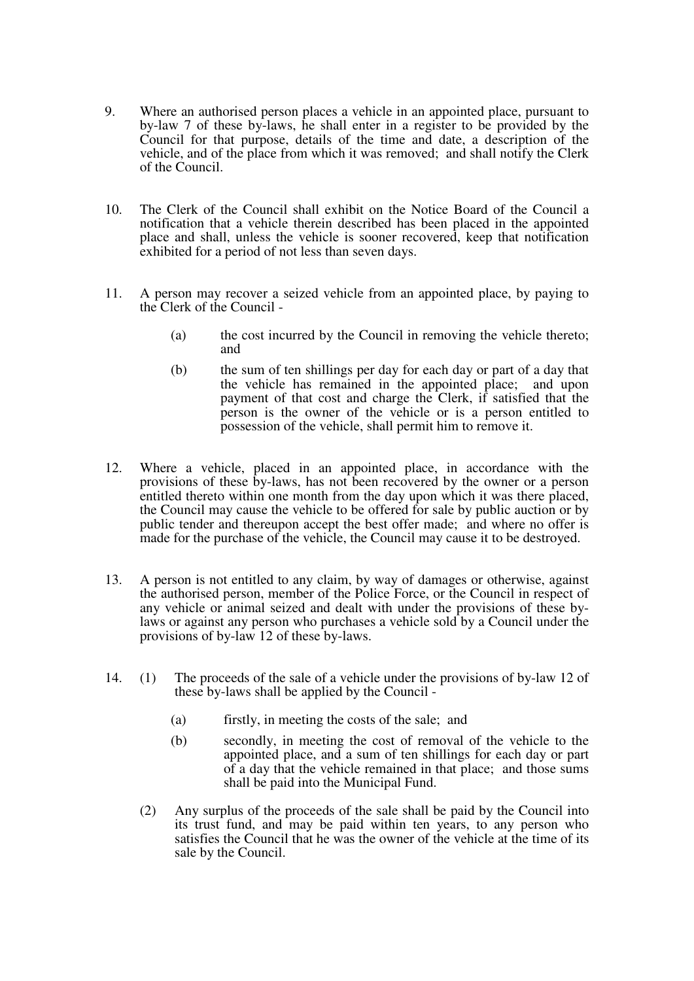- 9. Where an authorised person places a vehicle in an appointed place, pursuant to by-law 7 of these by-laws, he shall enter in a register to be provided by the Council for that purpose, details of the time and date, a description of the vehicle, and of the place from which it was removed; and shall notify the Clerk of the Council.
- 10. The Clerk of the Council shall exhibit on the Notice Board of the Council a notification that a vehicle therein described has been placed in the appointed place and shall, unless the vehicle is sooner recovered, keep that notification exhibited for a period of not less than seven days.
- 11. A person may recover a seized vehicle from an appointed place, by paying to the Clerk of the Council -
	- (a) the cost incurred by the Council in removing the vehicle thereto; and
	- (b) the sum of ten shillings per day for each day or part of a day that the vehicle has remained in the appointed place; and upon payment of that cost and charge the Clerk, if satisfied that the person is the owner of the vehicle or is a person entitled to possession of the vehicle, shall permit him to remove it.
- 12. Where a vehicle, placed in an appointed place, in accordance with the provisions of these by-laws, has not been recovered by the owner or a person entitled thereto within one month from the day upon which it was there placed, the Council may cause the vehicle to be offered for sale by public auction or by public tender and thereupon accept the best offer made; and where no offer is made for the purchase of the vehicle, the Council may cause it to be destroyed.
- 13. A person is not entitled to any claim, by way of damages or otherwise, against the authorised person, member of the Police Force, or the Council in respect of any vehicle or animal seized and dealt with under the provisions of these bylaws or against any person who purchases a vehicle sold by a Council under the provisions of by-law 12 of these by-laws.
- 14. (1) The proceeds of the sale of a vehicle under the provisions of by-law 12 of these by-laws shall be applied by the Council -
	- (a) firstly, in meeting the costs of the sale; and
	- (b) secondly, in meeting the cost of removal of the vehicle to the appointed place, and a sum of ten shillings for each day or part of a day that the vehicle remained in that place; and those sums shall be paid into the Municipal Fund.
	- (2) Any surplus of the proceeds of the sale shall be paid by the Council into its trust fund, and may be paid within ten years, to any person who satisfies the Council that he was the owner of the vehicle at the time of its sale by the Council.